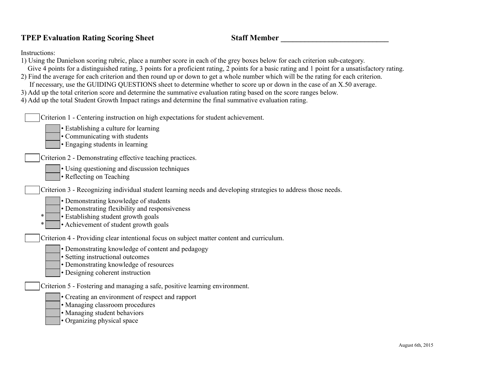## **TPEP Evaluation Rating Scoring Sheet Staff Member \_\_\_\_\_\_\_\_\_\_\_\_\_\_\_\_\_\_\_\_\_\_\_\_\_\_\_**

Instructions:

- 1) Using the Danielson scoring rubric, place a number score in each of the grey boxes below for each criterion sub-category.
- Give 4 points for a distinguished rating, 3 points for a proficient rating, 2 points for a basic rating and 1 point for a unsatisfactory rating.
- 2) Find the average for each criterion and then round up or down to get a whole number which will be the rating for each criterion.
- If necessary, use the GUIDING QUESTIONS sheet to determine whether to score up or down in the case of an X.50 average.
- 3) Add up the total criterion score and determine the summative evaluation rating based on the score ranges below.
- 4) Add up the total Student Growth Impact ratings and determine the final summative evaluation rating.

| Criterion 1 - Centering instruction on high expectations for student achievement.<br>• Establishing a culture for learning<br>• Communicating with students<br>• Engaging students in learning |
|------------------------------------------------------------------------------------------------------------------------------------------------------------------------------------------------|
| Criterion 2 - Demonstrating effective teaching practices.                                                                                                                                      |
| • Using questioning and discussion techniques<br>• Reflecting on Teaching                                                                                                                      |
| Criterion 3 - Recognizing individual student learning needs and developing strategies to address those needs.                                                                                  |
| • Demonstrating knowledge of students<br>• Demonstrating flexibility and responsiveness<br>• Establishing student growth goals<br>∗<br>• Achievement of student growth goals                   |
| Criterion 4 - Providing clear intentional focus on subject matter content and curriculum.                                                                                                      |
| • Demonstrating knowledge of content and pedagogy<br>• Setting instructional outcomes<br>• Demonstrating knowledge of resources<br>• Designing coherent instruction                            |
| Criterion 5 - Fostering and managing a safe, positive learning environment.                                                                                                                    |
| • Creating an environment of respect and rapport<br>• Managing classroom procedures<br>• Managing student behaviors<br>• Organizing physical space                                             |